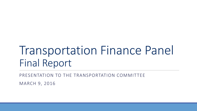# Transportation Finance Panel Final Report

PRESENTATION TO THE TRANSPORTATION COMMITTEE

MARCH 9, 2016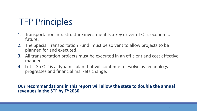## TFP Principles

- 1. Transportation infrastructure investment Is a key driver of CT's economic future.
- 2. The Special Transportation Fund must be solvent to allow projects to be planned for and executed.
- 3. All transportation projects must be executed in an efficient and cost effective manner.
- 4. Let's Go CT! is a dynamic plan that will continue to evolve as technology progresses and financial markets change.

#### **Our recommendations in this report will allow the state to double the annual revenues in the STF by FY2030.**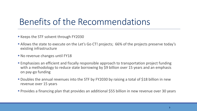## Benefits of the Recommendations

- Keeps the STF solvent through FY2030
- **Allows the state to execute on the Let's Go CT! projects; 66% of the projects preserve today's** existing infrastructure
- **No revenue changes until FY18**
- Emphasizes an efficient and fiscally responsible approach to transportation project funding with a methodology to reduce state borrowing by \$9 billion over 15 years and an emphasis on pay-go funding
- **Doubles the annual revenues into the STF by FY2030 by raising a total of \$18 billion in new** revenue over 15 years
- **Provides a financing plan that provides an additional \$55 billion in new revenue over 30 years**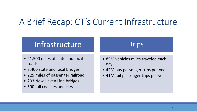## A Brief Recap: CT's Current Infrastructure

#### Infrastructure

- 21,500 miles of state and local roads
- 7,400 state and local bridges
- 225 miles of passenger railroad
- 203 New Haven Line bridges
- 500 rail coaches and cars

#### • 85M vehicles miles traveled each day

**Trips** 

- 42M bus passenger trips per year
- 41M rail passenger trips per year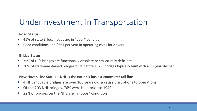#### Underinvestment in Transportation

#### **Road Status**

- 41% of state & local roads are in "poor" condition
- Road conditions add \$661 per year in operating costs for drivers

#### **Bridge Status**

- 35% of CT's bridges are functionally obsolete or structurally deficient
- 70% of state-maintained bridges built before 1970; bridges typically built with a 50 year lifespan

#### **New Haven Line Status – NHL is the nation's busiest commuter rail line**

- 4 NHL movable bridges are over 100 years old & cause disruptions to operations
- Of the 203 NHL bridges, 76% were built prior to 1940
- 22% of bridges on the NHL are in "poor" condition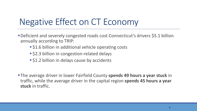# Negative Effect on CT Economy

- Deficient and severely congested roads cost Connecticut's drivers \$5.1 billion annually according to TRIP:
	- **S1.6 billion in additional vehicle operating costs**
	- **S2.3 billion in congestion-related delays**
	- **S1.2 billion in delays cause by accidents**

The average driver in lower Fairfield County **spends 49 hours a year stuck** in traffic, while the average driver in the capital region **spends 45 hours a year stuck** in traffic.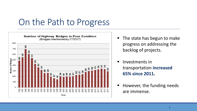### On the Path to Progress



- The state has begun to make progress on addressing the backlog of projects.
- **Investments in** transportation **increased 65% since 2011.**
- However, the funding needs are immense.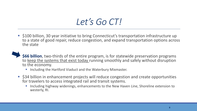# *Let's Go CT!*

■ \$100 billion, 30 year initiative to bring Connecticut's transportation infrastructure up to a state of good repair, reduce congestion, and expand transportation options across the state

 **\$66 billion**, two-thirds of the entire program, is for statewide preservation programs to keep the systems that exist today running smoothly and safely without disruption to the economy.

- Including the Hartford Viaduct and the Waterbury Mixmaster.
- \$34 billion in enhancement projects will reduce congestion and create opportunities for travelers to access integrated rail and transit systems.
	- Including highway widenings, enhancements to the New Haven Line, Shoreline extension to westerly, RI.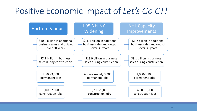## Positive Economic Impact of *Let's Go CT!*

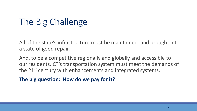# The Big Challenge

All of the state's infrastructure must be maintained, and brought into a state of good repair.

And, to be a competitive regionally and globally and accessible to our residents, CT's transportation system must meet the demands of the 21<sup>st</sup> century with enhancements and integrated systems.

**The big question: How do we pay for it?**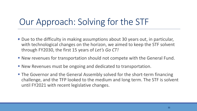## Our Approach: Solving for the STF

- Due to the difficulty in making assumptions about 30 years out, in particular, with technological changes on the horizon, we aimed to keep the STF solvent through FY2030, the first 15 years of *Let's Go CT!*
- New revenues for transportation should not compete with the General Fund.
- New Revenues must be ongoing and dedicated to transportation.
- The Governor and the General Assembly solved for the short-term financing challenge, and the TFP looked to the medium and long term. The STF is solvent until FY2021 with recent legislative changes.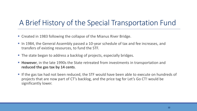#### A Brief History of the Special Transportation Fund

- Created in 1983 following the collapse of the Mianus River Bridge.
- In 1984, the General Assembly passed a 10-year schedule of tax and fee increases, and transfers of existing resources, to fund the STF.
- The state began to address a backlog of projects, especially bridges.
- **However**, in the late 1990s the State retreated from investments in transportation and **reduced the gas tax by 14 cents**.
- If the gas tax had not been reduced, the STF would have been able to execute on hundreds of projects that are now part of CT's backlog, and the price tag for Let's Go CT! would be significantly lower.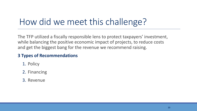# How did we meet this challenge?

The TFP utilized a fiscally responsible lens to protect taxpayers' investment, while balancing the positive economic impact of projects, to reduce costs and get the biggest bang for the revenue we recommend raising.

#### **3 Types of Recommendations**

- 1. Policy
- 2. Financing
- 3. Revenue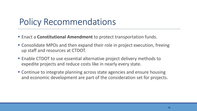## Policy Recommendations

- Enact a **Constitutional Amendment** to protect transportation funds.
- Consolidate MPOs and then expand their role in project execution, freeing up staff and resources at CTDOT.
- Enable CTDOT to use essential alternative project delivery methods to expedite projects and reduce costs like in nearly every state.
- Continue to integrate planning across state agencies and ensure housing and economic development are part of the consideration set for projects.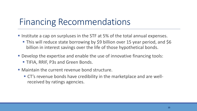## Financing Recommendations

- Institute a cap on surpluses in the STF at 5% of the total annual expenses.
	- This will reduce state borrowing by \$9 billion over 15 year period, and \$6 billion in interest savings over the life of those hypothetical bonds.
- Develop the expertise and enable the use of innovative financing tools: TIFIA, RRIF, P3s and Green Bonds.
- Maintain the current revenue bond structure.
	- CT's revenue bonds have credibility in the marketplace and are wellreceived by ratings agencies.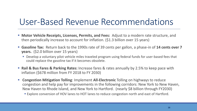## User-Based Revenue Recommendations

- **Motor Vehicle Receipts, Licenses, Permits, and Fees:** Adjust to a modern rate structure, and then periodically increase to account for inflation. (\$1.3 billion over 15 years)
- **Gasoline Tax:** Return back to the 1990s rate of 39 cents per gallon, a phase-in of 14 cents over 7 **years.** (\$2.0 billion over 15 years)
	- Develop a voluntary pilot vehicle miles traveled program using federal funds for user-based fees that could replace the gasoline tax if it becomes obsolete.
- **Rail & Bus Fares & Parking Rates:** Increase fares & rates annually by 2.5% to keep pace with inflation (\$678 million from FY 2018 to FY 2030)
- **Congestion Mitigation Tolling**: Implement **All-Electronic** Tolling on highways to reduce congestion and help pay for improvements in the following corridors: New York to New Haven, New Haven to Rhode Island, and New York to Hartford. (nearly \$8 billion through FY2030)
	- **Explore conversion of HOV lanes to HOT lanes to reduce congestion north and east of Hartford.**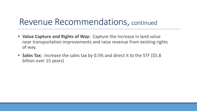### Revenue Recommendations, continued

- **Value Capture and Rights of Way:** Capture the increase in land value near transportation improvements and raise revenue from existing rights of way.
- **Sales Tax:** Increase the sales tax by 0.5% and direct it to the STF (\$5.8) billion over 15 years)